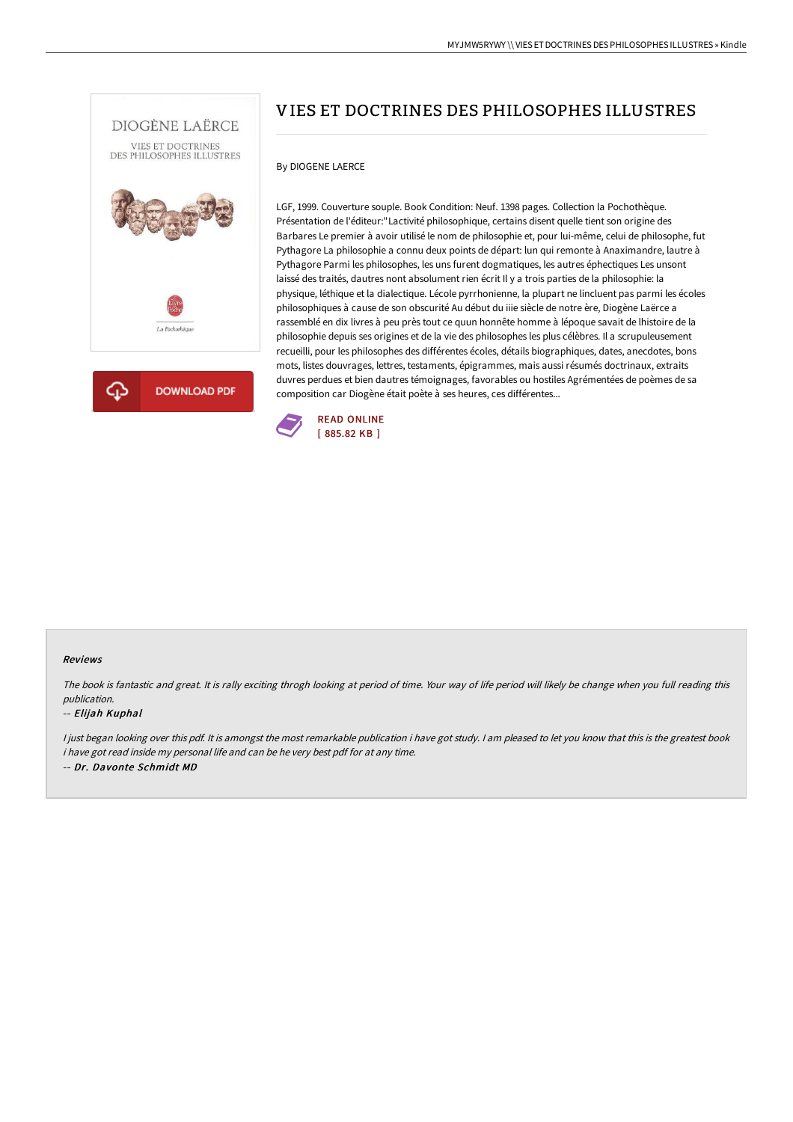



# VIES ET DOCTRINES DES PHILOSOPHES ILLUSTRES

## By DIOGENE LAERCE

LGF, 1999. Couverture souple. Book Condition: Neuf. 1398 pages. Collection la Pochothèque. Présentation de l'éditeur:"Lactivité philosophique, certains disent quelle tient son origine des Barbares Le premier à avoir utilisé le nom de philosophie et, pour lui-même, celui de philosophe, fut Pythagore La philosophie a connu deux points de départ: lun qui remonte à Anaximandre, lautre à Pythagore Parmi les philosophes, les uns furent dogmatiques, les autres éphectiques Les unsont laissé des traités, dautres nont absolument rien écrit Il y a trois parties de la philosophie: la physique, léthique et la dialectique. Lécole pyrrhonienne, la plupart ne lincluent pas parmi les écoles philosophiques à cause de son obscurité Au début du iiie siècle de notre ère, Diogène Laërce a rassemblé en dix livres à peu près tout ce quun honnête homme à lépoque savait de lhistoire de la philosophie depuis ses origines et de la vie des philosophes les plus célèbres. Il a scrupuleusement recueilli, pour les philosophes des différentes écoles, détails biographiques, dates, anecdotes, bons mots, listes douvrages, lettres, testaments, épigrammes, mais aussi résumés doctrinaux, extraits duvres perdues et bien dautres témoignages, favorables ou hostiles Agrémentées de poèmes de sa composition car Diogène était poète à ses heures, ces différentes...



#### Reviews

The book is fantastic and great. It is rally exciting throgh looking at period of time. Your way of life period will likely be change when you full reading this publication.

#### -- Elijah Kuphal

<sup>I</sup> just began looking over this pdf. It is amongst the most remarkable publication i have got study. <sup>I</sup> am pleased to let you know that this is the greatest book i have got read inside my personal life and can be he very best pdf for at any time. -- Dr. Davonte Schmidt MD